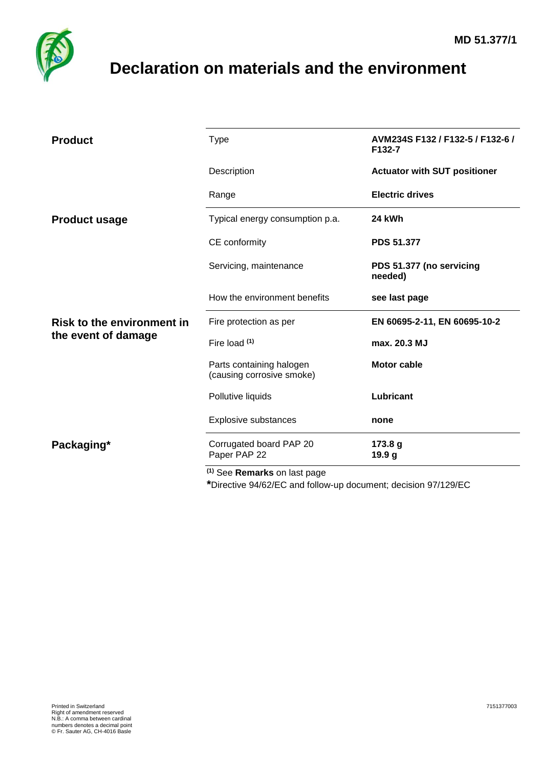

## <span id="page-0-0"></span>**Declaration on materials and the environment**

| <b>Product</b>                                           | <b>Type</b>                                           | AVM234S F132 / F132-5 / F132-6 /<br>F132-7 |  |
|----------------------------------------------------------|-------------------------------------------------------|--------------------------------------------|--|
|                                                          | Description                                           | <b>Actuator with SUT positioner</b>        |  |
|                                                          | Range                                                 | <b>Electric drives</b>                     |  |
| <b>Product usage</b>                                     | Typical energy consumption p.a.                       | 24 kWh                                     |  |
|                                                          | CE conformity                                         | <b>PDS 51.377</b>                          |  |
|                                                          | Servicing, maintenance                                | PDS 51.377 (no servicing<br>needed)        |  |
|                                                          | How the environment benefits                          | see last page                              |  |
| <b>Risk to the environment in</b><br>the event of damage | Fire protection as per                                | EN 60695-2-11, EN 60695-10-2               |  |
|                                                          | Fire load (1)                                         | max. 20.3 MJ                               |  |
|                                                          | Parts containing halogen<br>(causing corrosive smoke) | <b>Motor cable</b>                         |  |
|                                                          | Pollutive liquids                                     | Lubricant                                  |  |
|                                                          | Explosive substances                                  | none                                       |  |
| Packaging*                                               | Corrugated board PAP 20<br>Paper PAP 22               | 173.8 g<br>19.9 <sub>g</sub>               |  |
|                                                          | <sup>(1)</sup> See Remarks on last page               |                                            |  |

**\***Directive 94/62/EC and follow-up document; decision 97/129/EC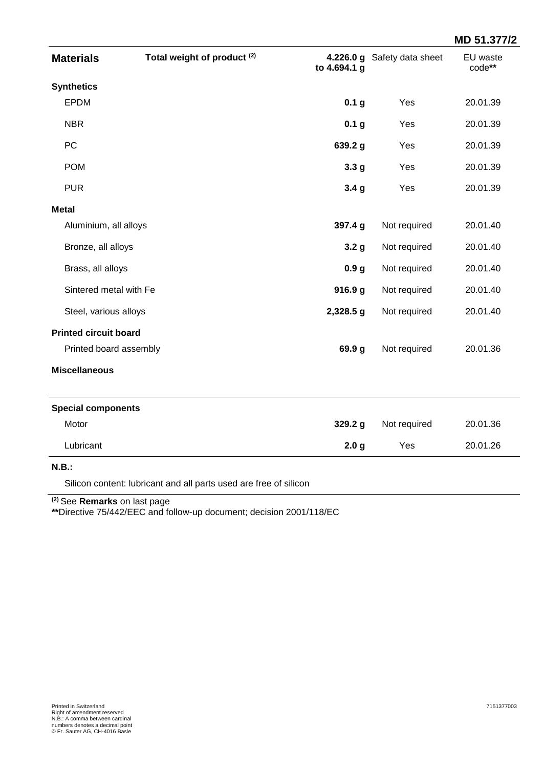|                              |                                        |                    |                             | MD 51.377/2        |
|------------------------------|----------------------------------------|--------------------|-----------------------------|--------------------|
| <b>Materials</b>             | Total weight of product <sup>(2)</sup> | to 4.694.1 g       | 4.226.0 g Safety data sheet | EU waste<br>code** |
| <b>Synthetics</b>            |                                        |                    |                             |                    |
| EPDM                         |                                        | 0.1 <sub>g</sub>   | Yes                         | 20.01.39           |
| <b>NBR</b>                   |                                        | 0.1 <sub>g</sub>   | Yes                         | 20.01.39           |
| PC                           |                                        | 639.2 g            | Yes                         | 20.01.39           |
| <b>POM</b>                   |                                        | 3.3 <sub>g</sub>   | Yes                         | 20.01.39           |
| <b>PUR</b>                   |                                        | 3.4 <sub>g</sub>   | Yes                         | 20.01.39           |
| <b>Metal</b>                 |                                        |                    |                             |                    |
| Aluminium, all alloys        |                                        | 397.4 g            | Not required                | 20.01.40           |
| Bronze, all alloys           |                                        | 3.2 <sub>g</sub>   | Not required                | 20.01.40           |
| Brass, all alloys            |                                        | 0.9 <sub>g</sub>   | Not required                | 20.01.40           |
| Sintered metal with Fe       |                                        | 916.9 <sub>g</sub> | Not required                | 20.01.40           |
| Steel, various alloys        |                                        | 2,328.5 g          | Not required                | 20.01.40           |
| <b>Printed circuit board</b> |                                        |                    |                             |                    |
| Printed board assembly       |                                        | 69.9 g             | Not required                | 20.01.36           |
| <b>Miscellaneous</b>         |                                        |                    |                             |                    |
| <b>Special components</b>    |                                        |                    |                             |                    |
| Motor                        |                                        | 329.2 g            | Not required                | 20.01.36           |
| Lubricant                    |                                        | 2.0 <sub>g</sub>   | Yes                         | 20.01.26           |
| N.B.:                        |                                        |                    |                             |                    |

Silicon content: lubricant and all parts used are free of silicon

**(2)** See **Remarks** on last page

**\*\***Directive 75/442/EEC and follow-up document; decision 2001/118/EC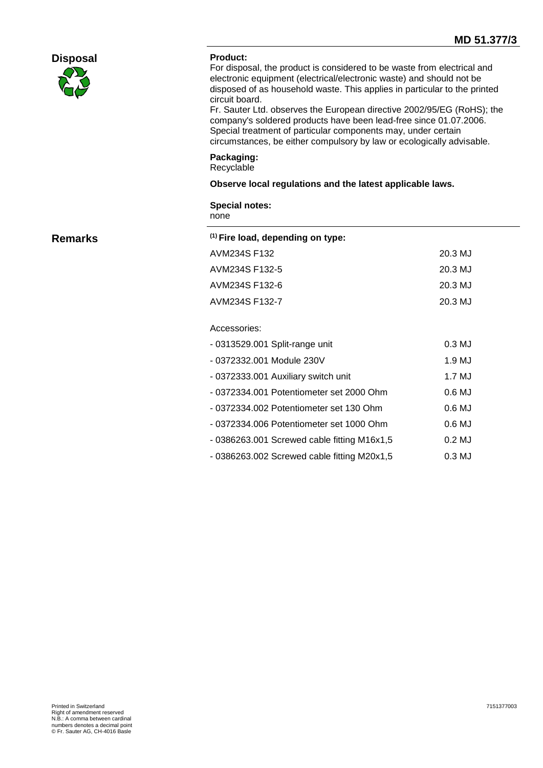|                 |                                              | MD 51.377/3                                                                                                                                                                                                                                                                                                                                                                                                                                                                                                           |  |  |
|-----------------|----------------------------------------------|-----------------------------------------------------------------------------------------------------------------------------------------------------------------------------------------------------------------------------------------------------------------------------------------------------------------------------------------------------------------------------------------------------------------------------------------------------------------------------------------------------------------------|--|--|
| <b>Disposal</b> | <b>Product:</b><br>circuit board.            | For disposal, the product is considered to be waste from electrical and<br>electronic equipment (electrical/electronic waste) and should not be<br>disposed of as household waste. This applies in particular to the printed<br>Fr. Sauter Ltd. observes the European directive 2002/95/EG (RoHS); the<br>company's soldered products have been lead-free since 01.07.2006.<br>Special treatment of particular components may, under certain<br>circumstances, be either compulsory by law or ecologically advisable. |  |  |
|                 | Packaging:<br>Recyclable                     |                                                                                                                                                                                                                                                                                                                                                                                                                                                                                                                       |  |  |
|                 |                                              | Observe local regulations and the latest applicable laws.                                                                                                                                                                                                                                                                                                                                                                                                                                                             |  |  |
|                 | <b>Special notes:</b><br>none                |                                                                                                                                                                                                                                                                                                                                                                                                                                                                                                                       |  |  |
| <b>Remarks</b>  | <sup>(1)</sup> Fire load, depending on type: |                                                                                                                                                                                                                                                                                                                                                                                                                                                                                                                       |  |  |
|                 | AVM234S F132                                 | 20.3 MJ                                                                                                                                                                                                                                                                                                                                                                                                                                                                                                               |  |  |
|                 | AVM234S F132-5                               | 20.3 MJ                                                                                                                                                                                                                                                                                                                                                                                                                                                                                                               |  |  |
|                 | AVM234S F132-6                               | 20.3 MJ                                                                                                                                                                                                                                                                                                                                                                                                                                                                                                               |  |  |
|                 | AVM234S F132-7                               | 20.3 MJ                                                                                                                                                                                                                                                                                                                                                                                                                                                                                                               |  |  |
|                 | Accessories:                                 |                                                                                                                                                                                                                                                                                                                                                                                                                                                                                                                       |  |  |
|                 | - 0313529.001 Split-range unit               | $0.3$ MJ                                                                                                                                                                                                                                                                                                                                                                                                                                                                                                              |  |  |
|                 | - 0372332.001 Module 230V                    | 1.9 MJ                                                                                                                                                                                                                                                                                                                                                                                                                                                                                                                |  |  |
|                 | - 0372333.001 Auxiliary switch unit          | 1.7 MJ                                                                                                                                                                                                                                                                                                                                                                                                                                                                                                                |  |  |
|                 | - 0372334.001 Potentiometer set 2000 Ohm     | 0.6 MJ                                                                                                                                                                                                                                                                                                                                                                                                                                                                                                                |  |  |
|                 | - 0372334.002 Potentiometer set 130 Ohm      | $0.6$ MJ                                                                                                                                                                                                                                                                                                                                                                                                                                                                                                              |  |  |
|                 | - 0372334.006 Potentiometer set 1000 Ohm     | 0.6 MJ                                                                                                                                                                                                                                                                                                                                                                                                                                                                                                                |  |  |
|                 | - 0386263.001 Screwed cable fitting M16x1,5  | $0.2$ MJ                                                                                                                                                                                                                                                                                                                                                                                                                                                                                                              |  |  |
|                 | - 0386263.002 Screwed cable fitting M20x1,5  | 0.3 MJ                                                                                                                                                                                                                                                                                                                                                                                                                                                                                                                |  |  |
|                 |                                              |                                                                                                                                                                                                                                                                                                                                                                                                                                                                                                                       |  |  |
|                 |                                              |                                                                                                                                                                                                                                                                                                                                                                                                                                                                                                                       |  |  |
|                 |                                              |                                                                                                                                                                                                                                                                                                                                                                                                                                                                                                                       |  |  |
|                 |                                              |                                                                                                                                                                                                                                                                                                                                                                                                                                                                                                                       |  |  |
|                 |                                              |                                                                                                                                                                                                                                                                                                                                                                                                                                                                                                                       |  |  |
|                 |                                              |                                                                                                                                                                                                                                                                                                                                                                                                                                                                                                                       |  |  |